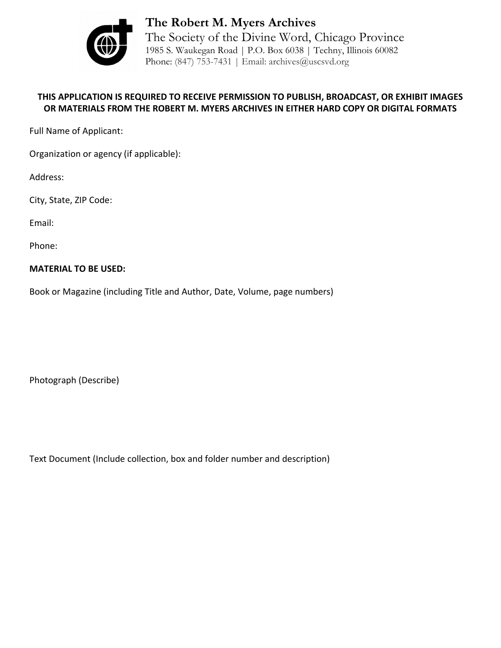

**The Robert M. Myers Archives** The Society of the Divine Word, Chicago Province 1985 S. Waukegan Road | P.O. Box 6038 | Techny, Illinois 60082 Phone: (847) 753-7431 | Email: archives@uscsvd.org

## **THIS APPLICATION IS REQUIRED TO RECEIVE PERMISSION TO PUBLISH, BROADCAST, OR EXHIBIT IMAGES OR MATERIALS FROM THE ROBERT M. MYERS ARCHIVES IN EITHER HARD COPY OR DIGITAL FORMATS**

Full Name of Applicant:

Organization or agency (if applicable):

Address:

City, State, ZIP Code:

Email:

Phone:

## **MATERIAL TO BE USED:**

Book or Magazine (including Title and Author, Date, Volume, page numbers)

Photograph (Describe)

Text Document (Include collection, box and folder number and description)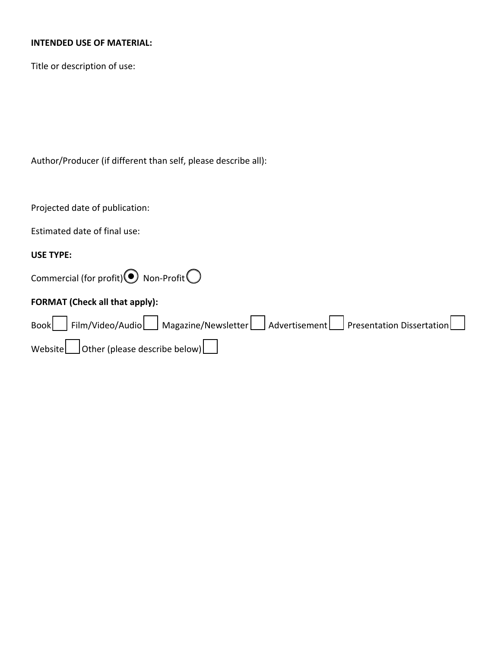## **INTENDED USE OF MATERIAL:**

Title or description of use:

Author/Producer (if different than self, please describe all):

| Projected date of publication:                                                    |
|-----------------------------------------------------------------------------------|
| Estimated date of final use:                                                      |
| <b>USE TYPE:</b>                                                                  |
| Commercial (for profit) $\odot$ Non-Profit $\bigcirc$                             |
| <b>FORMAT (Check all that apply):</b>                                             |
| Book Film/Video/Audio Magazine/Newsletter Advertisement Presentation Dissertation |
| Website   Other (please describe below)                                           |